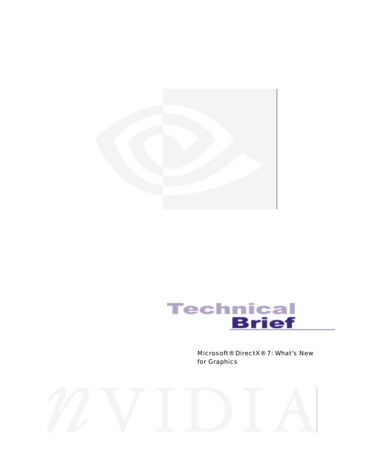



Microsoft® DirectX® 7: What's New for Graphics

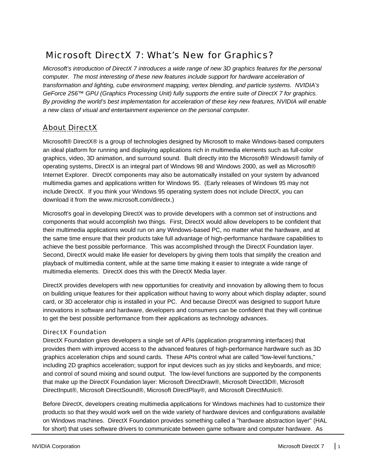# Microsoft DirectX 7: What's New for Graphics?

*Microsoft's introduction of DirectX 7 introduces a wide range of new 3D graphics features for the personal computer. The most interesting of these new features include support for hardware acceleration of transformation and lighting, cube environment mapping, vertex blending, and particle systems. NVIDIA's GeForce 256™ GPU (Graphics Processing Unit) fully supports the entire suite of DirectX 7 for graphics. By providing the world's best implementation for acceleration of these key new features, NVIDIA will enable a new class of visual and entertainment experience on the personal computer.*

## About DirectX

Microsoft® DirectX® is a group of technologies designed by Microsoft to make Windows-based computers an ideal platform for running and displaying applications rich in multimedia elements such as full-color graphics, video, 3D animation, and surround sound. Built directly into the Microsoft® Windows® family of operating systems, DirectX is an integral part of Windows 98 and Windows 2000, as well as Microsoft® Internet Explorer. DirectX components may also be automatically installed on your system by advanced multimedia games and applications written for Windows 95. (Early releases of Windows 95 may not include DirectX. If you think your Windows 95 operating system does not include DirectX, you can download it from the www.microsoft.com/directx.)

Microsoft's goal in developing DirectX was to provide developers with a common set of instructions and components that would accomplish two things. First, DirectX would allow developers to be confident that their multimedia applications would run on any Windows-based PC, no matter what the hardware, and at the same time ensure that their products take full advantage of high-performance hardware capabilities to achieve the best possible performance. This was accomplished through the DirectX Foundation layer. Second, DirectX would make life easier for developers by giving them tools that simplify the creation and playback of multimedia content, while at the same time making it easier to integrate a wide range of multimedia elements. DirectX does this with the DirectX Media layer.

DirectX provides developers with new opportunities for creativity and innovation by allowing them to focus on building unique features for their application without having to worry about which display adapter, sound card, or 3D accelerator chip is installed in your PC. And because DirectX was designed to support future innovations in software and hardware, developers and consumers can be confident that they will continue to get the best possible performance from their applications as technology advances.

### DirectX Foundation

DirectX Foundation gives developers a single set of APIs (application programming interfaces) that provides them with improved access to the advanced features of high-performance hardware such as 3D graphics acceleration chips and sound cards. These APIs control what are called "low-level functions," including 2D graphics acceleration; support for input devices such as joy sticks and keyboards, and mice; and control of sound mixing and sound output. The low-level functions are supported by the components that make up the DirectX Foundation layer: Microsoft DirectDraw®, Microsoft Direct3D®, Microsoft DirectInput®, Microsoft DirectSound®, Microsoft DirectPlay®, and Microsoft DirectMusic®.

Before DirectX, developers creating multimedia applications for Windows machines had to customize their products so that they would work well on the wide variety of hardware devices and configurations available on Windows machines. DirectX Foundation provides something called a "hardware abstraction layer" (HAL for short) that uses software drivers to communicate between game software and computer hardware. As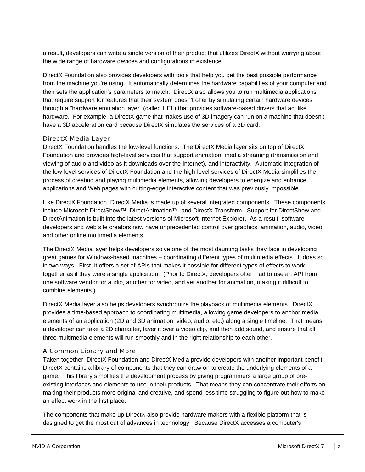a result, developers can write a single version of their product that utilizes DirectX without worrying about the wide range of hardware devices and configurations in existence.

DirectX Foundation also provides developers with tools that help you get the best possible performance from the machine you're using. It automatically determines the hardware capabilities of your computer and then sets the application's parameters to match. DirectX also allows you to run multimedia applications that require support for features that their system doesn't offer by simulating certain hardware devices through a "hardware emulation layer" (called HEL) that provides software-based drivers that act like hardware. For example, a DirectX game that makes use of 3D imagery can run on a machine that doesn't have a 3D acceleration card because DirectX simulates the services of a 3D card.

### DirectX Media Layer

DirectX Foundation handles the low-level functions. The DirectX Media layer sits on top of DirectX Foundation and provides high-level services that support animation, media streaming (transmission and viewing of audio and video as it downloads over the Internet), and interactivity. Automatic integration of the low-level services of DirectX Foundation and the high-level services of DirectX Media simplifies the process of creating and playing multimedia elements, allowing developers to energize and enhance applications and Web pages with cutting-edge interactive content that was previously impossible.

Like DirectX Foundation, DirectX Media is made up of several integrated components. These components include Microsoft DirectShow™, DirectAnimation™, and DirectX Transform. Support for DirectShow and DirectAnimation is built into the latest versions of Microsoft Internet Explorer. As a result, software developers and web site creators now have unprecedented control over graphics, animation, audio, video, and other online multimedia elements.

The DirectX Media layer helps developers solve one of the most daunting tasks they face in developing great games for Windows-based machines – coordinating different types of multimedia effects. It does so in two ways. First, it offers a set of APIs that makes it possible for different types of effects to work together as if they were a single application. (Prior to DirectX, developers often had to use an API from one software vendor for audio, another for video, and yet another for animation, making it difficult to combine elements.)

DirectX Media layer also helps developers synchronize the playback of multimedia elements. DirectX provides a time-based approach to coordinating multimedia, allowing game developers to anchor media elements of an application (2D and 3D animation, video, audio, etc.) along a single timeline. That means a developer can take a 2D character, layer it over a video clip, and then add sound, and ensure that all three multimedia elements will run smoothly and in the right relationship to each other.

### A Common Library and More

Taken together, DirectX Foundation and DirectX Media provide developers with another important benefit. DirectX contains a library of components that they can draw on to create the underlying elements of a game. This library simplifies the development process by giving programmers a large group of preexisting interfaces and elements to use in their products. That means they can concentrate their efforts on making their products more original and creative, and spend less time struggling to figure out how to make an effect work in the first place.

The components that make up DirectX also provide hardware makers with a flexible platform that is designed to get the most out of advances in technology. Because DirectX accesses a computer's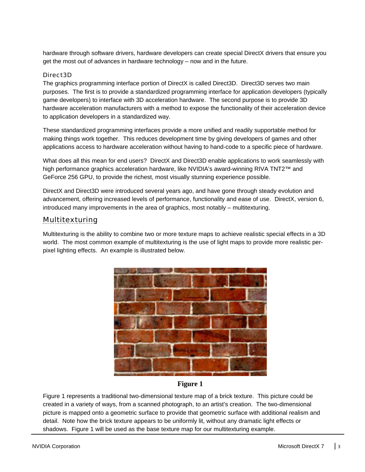hardware through software drivers, hardware developers can create special DirectX drivers that ensure you get the most out of advances in hardware technology – now and in the future.

### Direct3D

The graphics programming interface portion of DirectX is called Direct3D. Direct3D serves two main purposes. The first is to provide a standardized programming interface for application developers (typically game developers) to interface with 3D acceleration hardware. The second purpose is to provide 3D hardware acceleration manufacturers with a method to expose the functionality of their acceleration device to application developers in a standardized way.

These standardized programming interfaces provide a more unified and readily supportable method for making things work together. This reduces development time by giving developers of games and other applications access to hardware acceleration without having to hand-code to a specific piece of hardware.

What does all this mean for end users? DirectX and Direct3D enable applications to work seamlessly with high performance graphics acceleration hardware, like NVIDIA's award-winning RIVA TNT2™ and GeForce 256 GPU, to provide the richest, most visually stunning experience possible.

DirectX and Direct3D were introduced several years ago, and have gone through steady evolution and advancement, offering increased levels of performance, functionality and ease of use. DirectX, version 6, introduced many improvements in the area of graphics, most notably – multitexturing.

### Multitexturing

Multitexturing is the ability to combine two or more texture maps to achieve realistic special effects in a 3D world. The most common example of multitexturing is the use of light maps to provide more realistic perpixel lighting effects. An example is illustrated below.



### **Figure 1**

Figure 1 represents a traditional two-dimensional texture map of a brick texture. This picture could be created in a variety of ways, from a scanned photograph, to an artist's creation. The two-dimensional picture is mapped onto a geometric surface to provide that geometric surface with additional realism and detail. Note how the brick texture appears to be uniformly lit, without any dramatic light effects or shadows. Figure 1 will be used as the base texture map for our multitexturing example.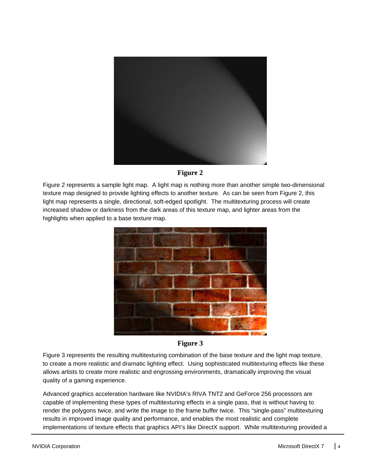



Figure 2 represents a sample light map. A light map is nothing more than another simple two-dimensional texture map designed to provide lighting effects to another texture. As can be seen from Figure 2, this light map represents a single, directional, soft-edged spotlight. The multitexturing process will create increased shadow or darkness from the dark areas of this texture map, and lighter areas from the highlights when applied to a base texture map.



**Figure 3**

Figure 3 represents the resulting multitexturing combination of the base texture and the light map texture, to create a more realistic and dramatic lighting effect. Using sophisticated multitexturing effects like these allows artists to create more realistic and engrossing environments, dramatically improving the visual quality of a gaming experience.

Advanced graphics acceleration hardware like NVIDIA's RIVA TNT2 and GeForce 256 processors are capable of implementing these types of multitexturing effects in a single pass, that is without having to render the polygons twice, and write the image to the frame buffer twice. This "single-pass" multitexturing results in improved image quality and performance, and enables the most realistic and complete implementations of texture effects that graphics API's like DirectX support. While multitexturing provided a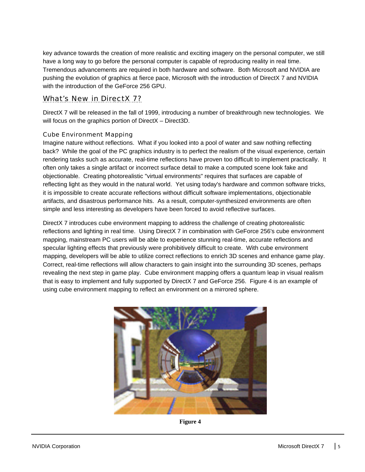key advance towards the creation of more realistic and exciting imagery on the personal computer, we still have a long way to go before the personal computer is capable of reproducing reality in real time. Tremendous advancements are required in both hardware and software. Both Microsoft and NVIDIA are pushing the evolution of graphics at fierce pace, Microsoft with the introduction of DirectX 7 and NVIDIA with the introduction of the GeForce 256 GPU.

### What's New in DirectX 7?

DirectX 7 will be released in the fall of 1999, introducing a number of breakthrough new technologies. We will focus on the graphics portion of DirectX – Direct3D.

### Cube Environment Mapping

Imagine nature without reflections. What if you looked into a pool of water and saw nothing reflecting back? While the goal of the PC graphics industry is to perfect the realism of the visual experience, certain rendering tasks such as accurate, real-time reflections have proven too difficult to implement practically. It often only takes a single artifact or incorrect surface detail to make a computed scene look fake and objectionable. Creating photorealistic "virtual environments" requires that surfaces are capable of reflecting light as they would in the natural world. Yet using today's hardware and common software tricks, it is impossible to create accurate reflections without difficult software implementations, objectionable artifacts, and disastrous performance hits. As a result, computer-synthesized environments are often simple and less interesting as developers have been forced to avoid reflective surfaces.

DirectX 7 introduces cube environment mapping to address the challenge of creating photorealistic reflections and lighting in real time. Using DirectX 7 in combination with GeForce 256's cube environment mapping, mainstream PC users will be able to experience stunning real-time, accurate reflections and specular lighting effects that previously were prohibitively difficult to create. With cube environment mapping, developers will be able to utilize correct reflections to enrich 3D scenes and enhance game play. Correct, real-time reflections will allow characters to gain insight into the surrounding 3D scenes, perhaps revealing the next step in game play. Cube environment mapping offers a quantum leap in visual realism that is easy to implement and fully supported by DirectX 7 and GeForce 256. Figure 4 is an example of using cube environment mapping to reflect an environment on a mirrored sphere.



**Figure 4**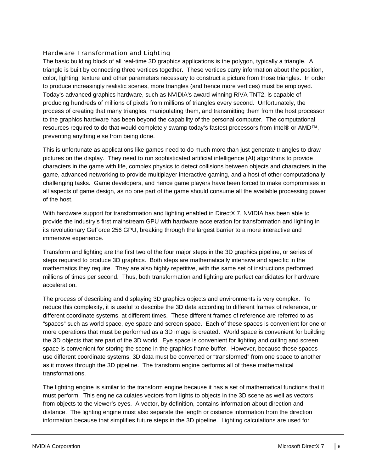### Hardware Transformation and Lighting

The basic building block of all real-time 3D graphics applications is the polygon, typically a triangle. A triangle is built by connecting three vertices together. These vertices carry information about the position, color, lighting, texture and other parameters necessary to construct a picture from those triangles. In order to produce increasingly realistic scenes, more triangles (and hence more vertices) must be employed. Today's advanced graphics hardware, such as NVIDIA's award-winning RIVA TNT2, is capable of producing hundreds of millions of pixels from millions of triangles every second. Unfortunately, the process of creating that many triangles, manipulating them, and transmitting them from the host processor to the graphics hardware has been beyond the capability of the personal computer. The computational resources required to do that would completely swamp today's fastest processors from Intel® or AMD™, preventing anything else from being done.

This is unfortunate as applications like games need to do much more than just generate triangles to draw pictures on the display. They need to run sophisticated artificial intelligence (AI) algorithms to provide characters in the game with life, complex physics to detect collisions between objects and characters in the game, advanced networking to provide multiplayer interactive gaming, and a host of other computationally challenging tasks. Game developers, and hence game players have been forced to make compromises in all aspects of game design, as no one part of the game should consume all the available processing power of the host.

With hardware support for transformation and lighting enabled in DirectX 7, NVIDIA has been able to provide the industry's first mainstream GPU with hardware acceleration for transformation and lighting in its revolutionary GeForce 256 GPU, breaking through the largest barrier to a more interactive and immersive experience.

Transform and lighting are the first two of the four major steps in the 3D graphics pipeline, or series of steps required to produce 3D graphics. Both steps are mathematically intensive and specific in the mathematics they require. They are also highly repetitive, with the same set of instructions performed millions of times per second. Thus, both transformation and lighting are perfect candidates for hardware acceleration.

The process of describing and displaying 3D graphics objects and environments is very complex. To reduce this complexity, it is useful to describe the 3D data according to different frames of reference, or different coordinate systems, at different times. These different frames of reference are referred to as "spaces" such as world space, eye space and screen space. Each of these spaces is convenient for one or more operations that must be performed as a 3D image is created. World space is convenient for building the 3D objects that are part of the 3D world. Eye space is convenient for lighting and culling and screen space is convenient for storing the scene in the graphics frame buffer. However, because these spaces use different coordinate systems, 3D data must be converted or "transformed" from one space to another as it moves through the 3D pipeline. The transform engine performs all of these mathematical transformations.

The lighting engine is similar to the transform engine because it has a set of mathematical functions that it must perform. This engine calculates vectors from lights to objects in the 3D scene as well as vectors from objects to the viewer's eyes. A vector, by definition, contains information about direction and distance. The lighting engine must also separate the length or distance information from the direction information because that simplifies future steps in the 3D pipeline. Lighting calculations are used for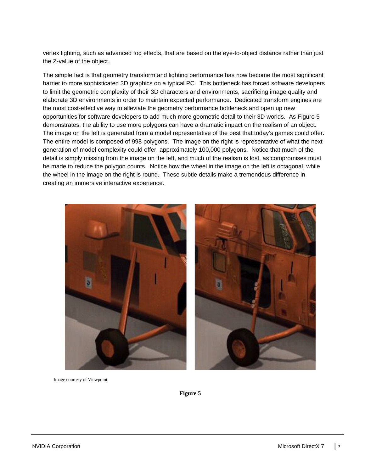vertex lighting, such as advanced fog effects, that are based on the eye-to-object distance rather than just the Z-value of the object.

The simple fact is that geometry transform and lighting performance has now become the most significant barrier to more sophisticated 3D graphics on a typical PC. This bottleneck has forced software developers to limit the geometric complexity of their 3D characters and environments, sacrificing image quality and elaborate 3D environments in order to maintain expected performance. Dedicated transform engines are the most cost-effective way to alleviate the geometry performance bottleneck and open up new opportunities for software developers to add much more geometric detail to their 3D worlds. As Figure 5 demonstrates, the ability to use more polygons can have a dramatic impact on the realism of an object. The image on the left is generated from a model representative of the best that today's games could offer. The entire model is composed of 998 polygons. The image on the right is representative of what the next generation of model complexity could offer, approximately 100,000 polygons. Notice that much of the detail is simply missing from the image on the left, and much of the realism is lost, as compromises must be made to reduce the polygon counts. Notice how the wheel in the image on the left is octagonal, while the wheel in the image on the right is round. These subtle details make a tremendous difference in creating an immersive interactive experience.



Image courtesy of Viewpoint.

**Figure 5**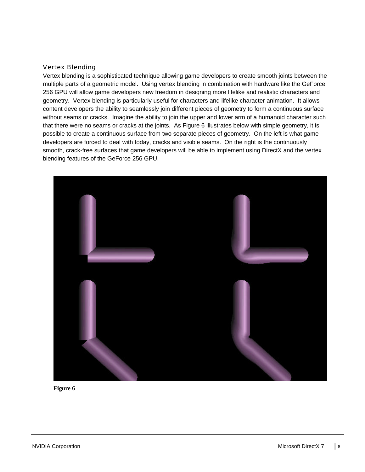#### Vertex Blending

Vertex blending is a sophisticated technique allowing game developers to create smooth joints between the multiple parts of a geometric model. Using vertex blending in combination with hardware like the GeForce 256 GPU will allow game developers new freedom in designing more lifelike and realistic characters and geometry. Vertex blending is particularly useful for characters and lifelike character animation. It allows content developers the ability to seamlessly join different pieces of geometry to form a continuous surface without seams or cracks. Imagine the ability to join the upper and lower arm of a humanoid character such that there were no seams or cracks at the joints. As Figure 6 illustrates below with simple geometry, it is possible to create a continuous surface from two separate pieces of geometry. On the left is what game developers are forced to deal with today, cracks and visible seams. On the right is the continuously smooth, crack-free surfaces that game developers will be able to implement using DirectX and the vertex blending features of the GeForce 256 GPU.



**Figure 6**